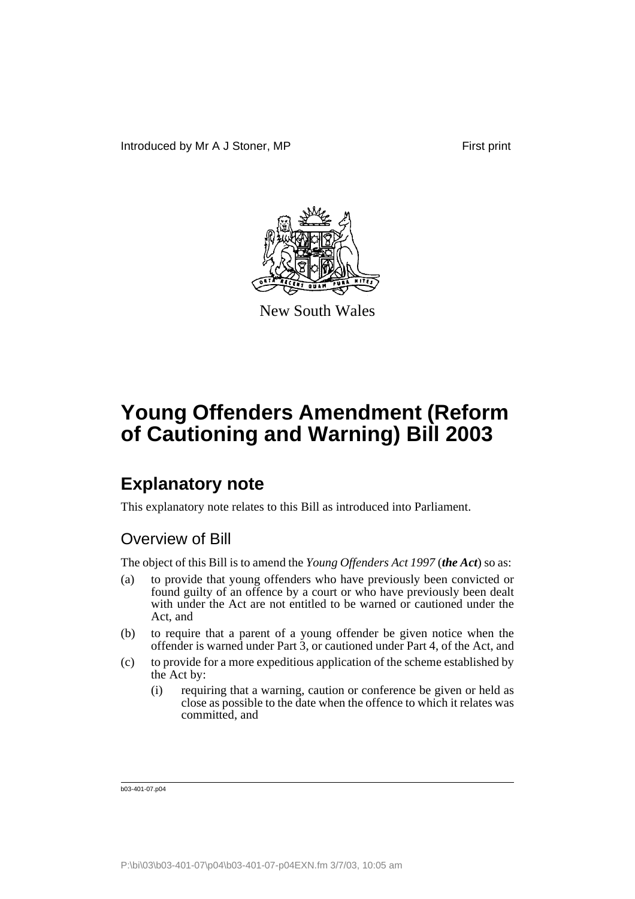

New South Wales

## **Explanatory note**

This explanatory note relates to this Bill as introduced into Parliament.

### Overview of Bill

The object of this Bill is to amend the *Young Offenders Act 1997* (*the Act*) so as:

- (a) to provide that young offenders who have previously been convicted or found guilty of an offence by a court or who have previously been dealt with under the Act are not entitled to be warned or cautioned under the Act, and
- (b) to require that a parent of a young offender be given notice when the offender is warned under Part 3, or cautioned under Part 4, of the Act, and
- (c) to provide for a more expeditious application of the scheme established by the Act by:
	- (i) requiring that a warning, caution or conference be given or held as close as possible to the date when the offence to which it relates was committed, and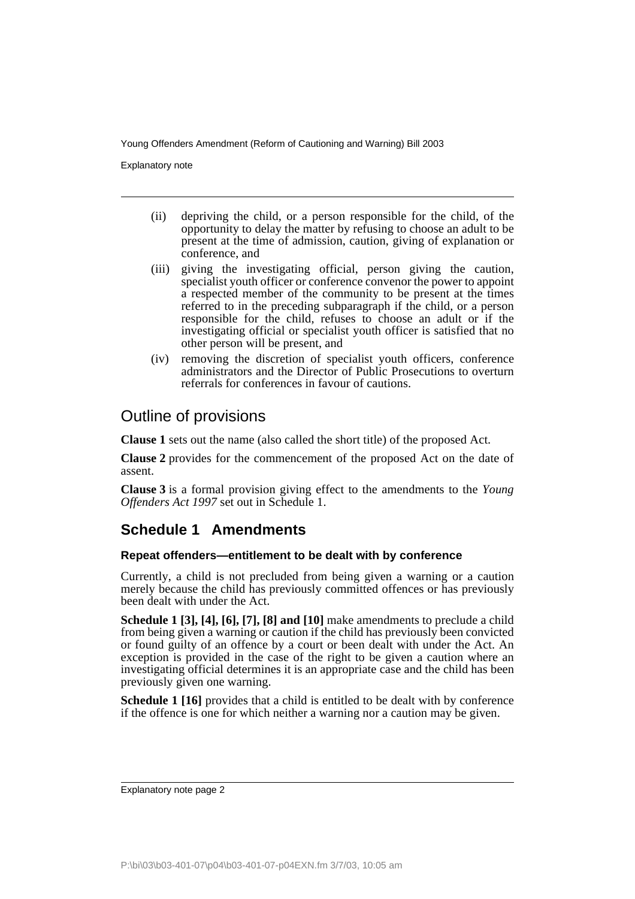Explanatory note

- (ii) depriving the child, or a person responsible for the child, of the opportunity to delay the matter by refusing to choose an adult to be present at the time of admission, caution, giving of explanation or conference, and
- (iii) giving the investigating official, person giving the caution, specialist youth officer or conference convenor the power to appoint a respected member of the community to be present at the times referred to in the preceding subparagraph if the child, or a person responsible for the child, refuses to choose an adult or if the investigating official or specialist youth officer is satisfied that no other person will be present, and
- (iv) removing the discretion of specialist youth officers, conference administrators and the Director of Public Prosecutions to overturn referrals for conferences in favour of cautions.

### Outline of provisions

**Clause 1** sets out the name (also called the short title) of the proposed Act.

**Clause 2** provides for the commencement of the proposed Act on the date of assent.

**Clause 3** is a formal provision giving effect to the amendments to the *Young Offenders Act 1997* set out in Schedule 1.

### **Schedule 1 Amendments**

#### **Repeat offenders—entitlement to be dealt with by conference**

Currently, a child is not precluded from being given a warning or a caution merely because the child has previously committed offences or has previously been dealt with under the Act.

**Schedule 1 [3], [4], [6], [7], [8] and [10]** make amendments to preclude a child from being given a warning or caution if the child has previously been convicted or found guilty of an offence by a court or been dealt with under the Act. An exception is provided in the case of the right to be given a caution where an investigating official determines it is an appropriate case and the child has been previously given one warning.

**Schedule 1 [16]** provides that a child is entitled to be dealt with by conference if the offence is one for which neither a warning nor a caution may be given.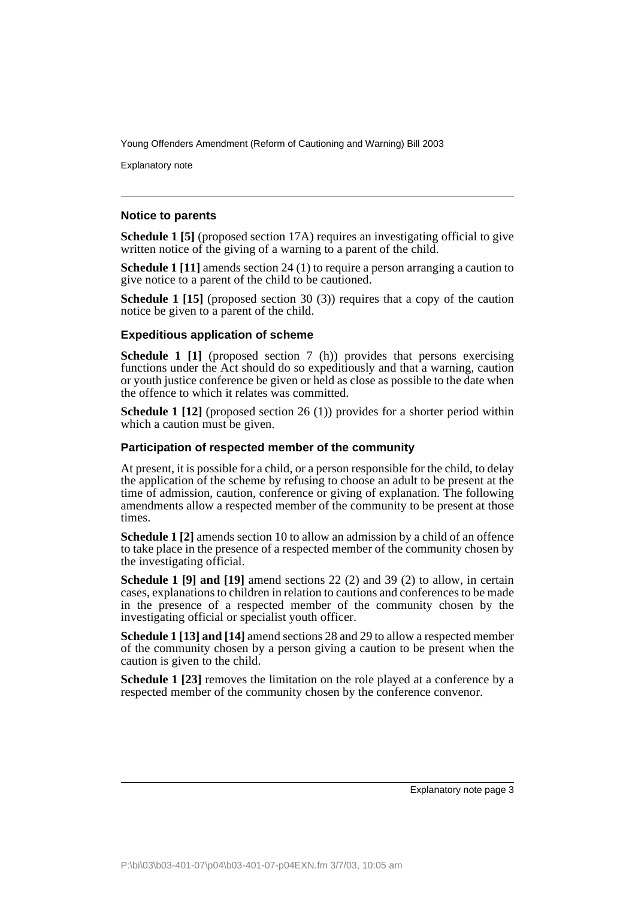Explanatory note

#### **Notice to parents**

**Schedule 1 [5]** (proposed section 17A) requires an investigating official to give written notice of the giving of a warning to a parent of the child.

**Schedule 1 [11]** amends section 24 (1) to require a person arranging a caution to give notice to a parent of the child to be cautioned.

**Schedule 1 [15]** (proposed section 30 (3)) requires that a copy of the caution notice be given to a parent of the child.

#### **Expeditious application of scheme**

**Schedule 1 [1]** (proposed section 7 (h)) provides that persons exercising functions under the Act should do so expeditiously and that a warning, caution or youth justice conference be given or held as close as possible to the date when the offence to which it relates was committed.

**Schedule 1 [12]** (proposed section 26 (1)) provides for a shorter period within which a caution must be given.

#### **Participation of respected member of the community**

At present, it is possible for a child, or a person responsible for the child, to delay the application of the scheme by refusing to choose an adult to be present at the time of admission, caution, conference or giving of explanation. The following amendments allow a respected member of the community to be present at those times.

**Schedule 1 [2]** amends section 10 to allow an admission by a child of an offence to take place in the presence of a respected member of the community chosen by the investigating official.

**Schedule 1 [9] and [19]** amend sections 22 (2) and 39 (2) to allow, in certain cases, explanations to children in relation to cautions and conferences to be made in the presence of a respected member of the community chosen by the investigating official or specialist youth officer.

**Schedule 1 [13] and [14]** amend sections 28 and 29 to allow a respected member of the community chosen by a person giving a caution to be present when the caution is given to the child.

**Schedule 1 [23]** removes the limitation on the role played at a conference by a respected member of the community chosen by the conference convenor.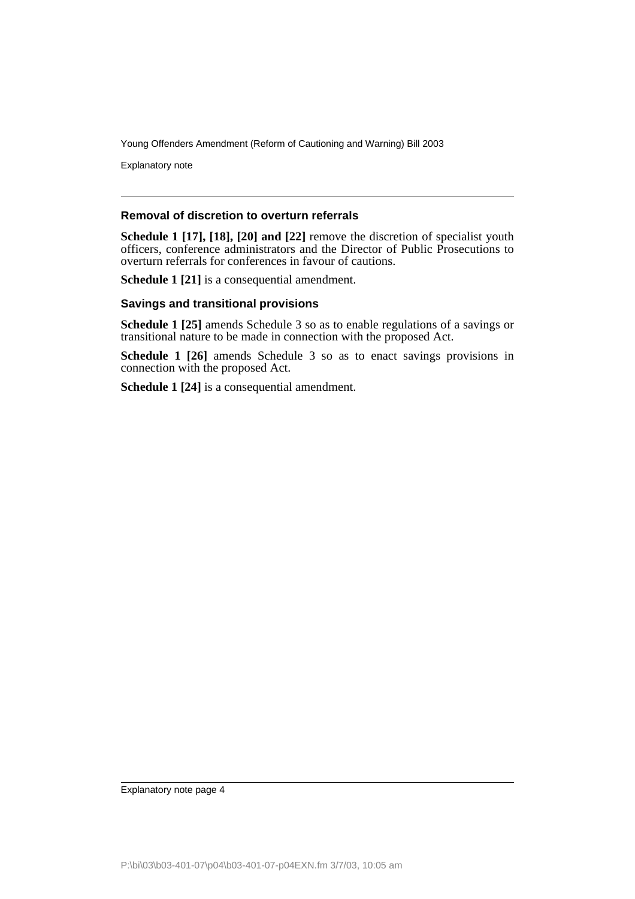Explanatory note

#### **Removal of discretion to overturn referrals**

**Schedule 1 [17], [18], [20] and [22]** remove the discretion of specialist youth officers, conference administrators and the Director of Public Prosecutions to overturn referrals for conferences in favour of cautions.

**Schedule 1 [21]** is a consequential amendment.

#### **Savings and transitional provisions**

**Schedule 1 [25]** amends Schedule 3 so as to enable regulations of a savings or transitional nature to be made in connection with the proposed Act.

**Schedule 1 [26]** amends Schedule 3 so as to enact savings provisions in connection with the proposed Act.

**Schedule 1 [24]** is a consequential amendment.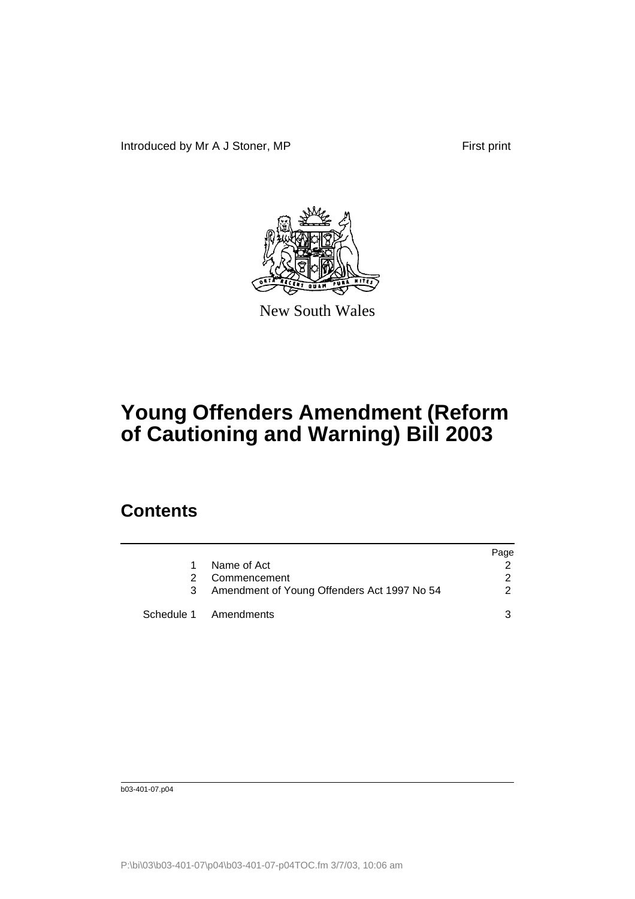Introduced by Mr A J Stoner, MP First print



New South Wales

# **Young Offenders Amendment (Reform of Cautioning and Warning) Bill 2003**

## **Contents**

|                                               | Page |
|-----------------------------------------------|------|
| Name of Act                                   |      |
| Commencement                                  |      |
| 3 Amendment of Young Offenders Act 1997 No 54 |      |
| Schedule 1 Amendments                         |      |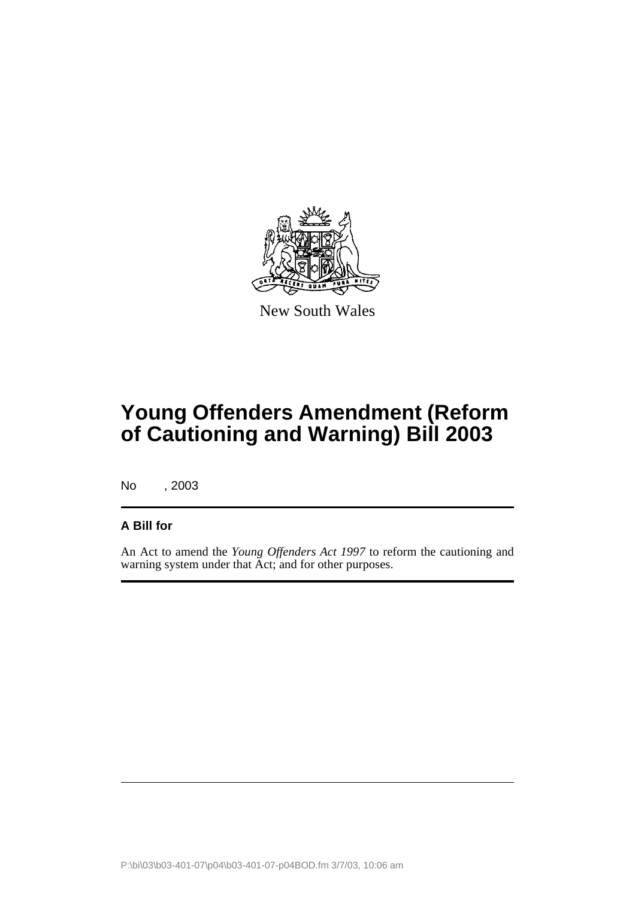

New South Wales

## **Young Offenders Amendment (Reform of Cautioning and Warning) Bill 2003**

No , 2003

### **A Bill for**

An Act to amend the *Young Offenders Act 1997* to reform the cautioning and warning system under that Act; and for other purposes.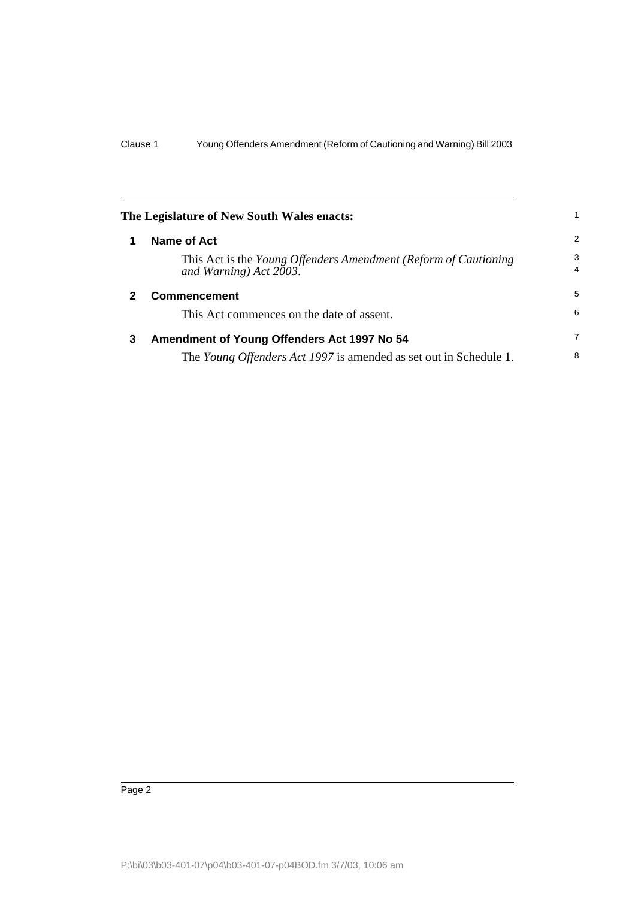<span id="page-7-2"></span><span id="page-7-1"></span><span id="page-7-0"></span>

| The Legislature of New South Wales enacts: |                                                                                           |                     |
|--------------------------------------------|-------------------------------------------------------------------------------------------|---------------------|
|                                            | Name of Act                                                                               | 2                   |
|                                            | This Act is the Young Offenders Amendment (Reform of Cautioning<br>and Warning) Act 2003. | 3<br>$\overline{4}$ |
|                                            | <b>Commencement</b>                                                                       | 5                   |
|                                            | This Act commences on the date of assent.                                                 | 6                   |
| 3                                          | Amendment of Young Offenders Act 1997 No 54                                               | $\overline{7}$      |
|                                            | The <i>Young Offenders Act 1997</i> is amended as set out in Schedule 1.                  | 8                   |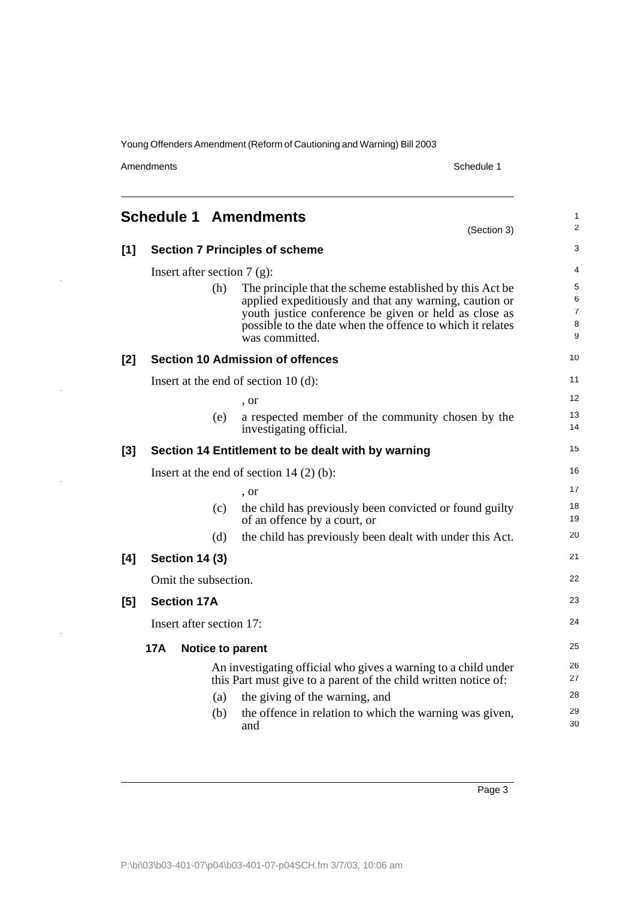Amendments Schedule 1

l,

l,

l,

 $\ddot{\phantom{0}}$ 

<span id="page-8-0"></span>

|       |                                           |     | <b>Schedule 1 Amendments</b><br>(Section 3)                                                                                                                                                                                                                 | 1<br>$\overline{c}$                |
|-------|-------------------------------------------|-----|-------------------------------------------------------------------------------------------------------------------------------------------------------------------------------------------------------------------------------------------------------------|------------------------------------|
| $[1]$ |                                           |     | <b>Section 7 Principles of scheme</b>                                                                                                                                                                                                                       | 3                                  |
|       | Insert after section 7 $(g)$ :            |     |                                                                                                                                                                                                                                                             |                                    |
|       |                                           | (h) | The principle that the scheme established by this Act be.<br>applied expeditiously and that any warning, caution or<br>youth justice conference be given or held as close as<br>possible to the date when the offence to which it relates<br>was committed. | 5<br>6<br>$\overline{7}$<br>8<br>9 |
| [2]   |                                           |     | <b>Section 10 Admission of offences</b>                                                                                                                                                                                                                     | 10                                 |
|       |                                           |     | Insert at the end of section $10(d)$ :                                                                                                                                                                                                                      | 11                                 |
|       |                                           |     | , or                                                                                                                                                                                                                                                        | 12                                 |
|       |                                           | (e) | a respected member of the community chosen by the<br>investigating official.                                                                                                                                                                                | 13<br>14                           |
| [3]   |                                           |     | Section 14 Entitlement to be dealt with by warning                                                                                                                                                                                                          | 15                                 |
|       | Insert at the end of section $14(2)(b)$ : |     |                                                                                                                                                                                                                                                             | 16                                 |
|       |                                           |     | , or                                                                                                                                                                                                                                                        | 17                                 |
|       |                                           | (c) | the child has previously been convicted or found guilty<br>of an offence by a court, or                                                                                                                                                                     | 18<br>19                           |
|       |                                           | (d) | the child has previously been dealt with under this Act.                                                                                                                                                                                                    | 20                                 |
| [4]   | <b>Section 14 (3)</b>                     |     |                                                                                                                                                                                                                                                             | 21                                 |
|       | Omit the subsection.                      |     |                                                                                                                                                                                                                                                             | 22                                 |
| [5]   | <b>Section 17A</b>                        |     |                                                                                                                                                                                                                                                             | 23                                 |
|       | Insert after section 17:                  |     |                                                                                                                                                                                                                                                             | 24                                 |
|       | 17A                                       |     | <b>Notice to parent</b>                                                                                                                                                                                                                                     | 25                                 |
|       |                                           |     | An investigating official who gives a warning to a child under<br>this Part must give to a parent of the child written notice of:                                                                                                                           | 26<br>27                           |
|       |                                           | (a) | the giving of the warning, and                                                                                                                                                                                                                              | 28                                 |
|       |                                           | (b) | the offence in relation to which the warning was given,<br>and                                                                                                                                                                                              | 29<br>30                           |
|       |                                           |     |                                                                                                                                                                                                                                                             |                                    |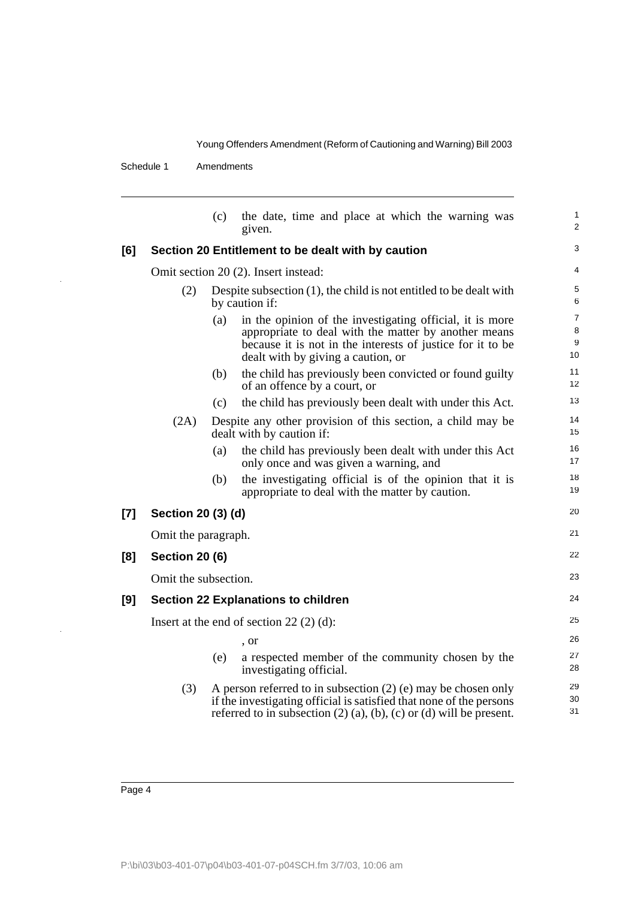Schedule 1 Amendments

|     |                                           | (c)                                                                                     | the date, time and place at which the warning was<br>given.                                                                                                                                                               | 1<br>$\overline{2}$            |  |
|-----|-------------------------------------------|-----------------------------------------------------------------------------------------|---------------------------------------------------------------------------------------------------------------------------------------------------------------------------------------------------------------------------|--------------------------------|--|
| [6] |                                           |                                                                                         | Section 20 Entitlement to be dealt with by caution                                                                                                                                                                        | 3                              |  |
|     |                                           |                                                                                         | Omit section 20 (2). Insert instead:                                                                                                                                                                                      | 4                              |  |
|     | (2)                                       | Despite subsection $(1)$ , the child is not entitled to be dealt with<br>by caution if: |                                                                                                                                                                                                                           |                                |  |
|     |                                           | (a)                                                                                     | in the opinion of the investigating official, it is more<br>appropriate to deal with the matter by another means<br>because it is not in the interests of justice for it to be<br>dealt with by giving a caution, or      | $\overline{7}$<br>8<br>9<br>10 |  |
|     |                                           | (b)                                                                                     | the child has previously been convicted or found guilty<br>of an offence by a court, or                                                                                                                                   | 11<br>12                       |  |
|     |                                           | (c)                                                                                     | the child has previously been dealt with under this Act.                                                                                                                                                                  | 13                             |  |
|     | (2A)                                      |                                                                                         | Despite any other provision of this section, a child may be<br>dealt with by caution if:                                                                                                                                  | 14<br>15                       |  |
|     |                                           | (a)                                                                                     | the child has previously been dealt with under this Act<br>only once and was given a warning, and                                                                                                                         | 16<br>17                       |  |
|     |                                           | (b)                                                                                     | the investigating official is of the opinion that it is<br>appropriate to deal with the matter by caution.                                                                                                                | 18<br>19                       |  |
| [7] | Section 20 (3) (d)                        |                                                                                         |                                                                                                                                                                                                                           | 20                             |  |
|     | Omit the paragraph.                       |                                                                                         |                                                                                                                                                                                                                           | 21                             |  |
| [8] | <b>Section 20 (6)</b>                     |                                                                                         |                                                                                                                                                                                                                           | 22                             |  |
|     | Omit the subsection.                      |                                                                                         |                                                                                                                                                                                                                           | 23                             |  |
| [9] |                                           |                                                                                         | <b>Section 22 Explanations to children</b>                                                                                                                                                                                | 24                             |  |
|     | Insert at the end of section $22(2)(d)$ : |                                                                                         |                                                                                                                                                                                                                           |                                |  |
|     |                                           |                                                                                         | , or                                                                                                                                                                                                                      | 26                             |  |
|     |                                           | (e)                                                                                     | a respected member of the community chosen by the<br>investigating official.                                                                                                                                              | 27<br>28                       |  |
|     | (3)                                       |                                                                                         | A person referred to in subsection $(2)$ (e) may be chosen only<br>if the investigating official is satisfied that none of the persons<br>referred to in subsection $(2)$ $(a)$ , $(b)$ , $(c)$ or $(d)$ will be present. | 29<br>30<br>31                 |  |
|     |                                           |                                                                                         |                                                                                                                                                                                                                           |                                |  |

l,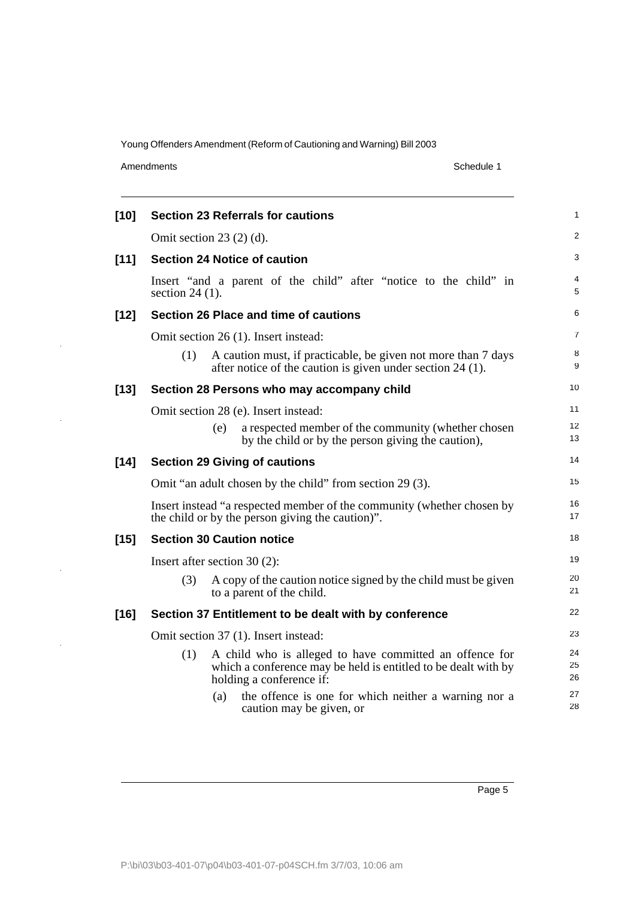Amendments Schedule 1

l,

| $[10]$ | <b>Section 23 Referrals for cautions</b>                                                                                                                     | 1              |
|--------|--------------------------------------------------------------------------------------------------------------------------------------------------------------|----------------|
|        | Omit section $23(2)(d)$ .                                                                                                                                    | $\overline{2}$ |
| $[11]$ | <b>Section 24 Notice of caution</b>                                                                                                                          | 3              |
|        | Insert "and a parent of the child" after "notice to the child" in<br>section $24(1)$ .                                                                       | 4<br>5         |
| $[12]$ | Section 26 Place and time of cautions                                                                                                                        | 6              |
|        | Omit section 26 (1). Insert instead:                                                                                                                         | 7              |
|        | (1)<br>A caution must, if practicable, be given not more than 7 days<br>after notice of the caution is given under section $24$ (1).                         | 8<br>9         |
| $[13]$ | Section 28 Persons who may accompany child                                                                                                                   | 10             |
|        | Omit section 28 (e). Insert instead:                                                                                                                         | 11             |
|        | a respected member of the community (whether chosen<br>(e)<br>by the child or by the person giving the caution),                                             | 12<br>13       |
| $[14]$ | <b>Section 29 Giving of cautions</b>                                                                                                                         | 14             |
|        | Omit "an adult chosen by the child" from section 29 (3).                                                                                                     | 15             |
|        | Insert instead "a respected member of the community (whether chosen by<br>the child or by the person giving the caution)".                                   | 16<br>17       |
| $[15]$ | <b>Section 30 Caution notice</b>                                                                                                                             | 18             |
|        | Insert after section $30(2)$ :                                                                                                                               | 19             |
|        | (3)<br>A copy of the caution notice signed by the child must be given<br>to a parent of the child.                                                           | 20<br>21       |
| $[16]$ | Section 37 Entitlement to be dealt with by conference                                                                                                        | 22             |
|        | Omit section 37 (1). Insert instead:                                                                                                                         | 23             |
|        | (1)<br>A child who is alleged to have committed an offence for<br>which a conference may be held is entitled to be dealt with by<br>holding a conference if: | 24<br>25<br>26 |
|        | the offence is one for which neither a warning nor a<br>(a)<br>caution may be given, or                                                                      | 27<br>28       |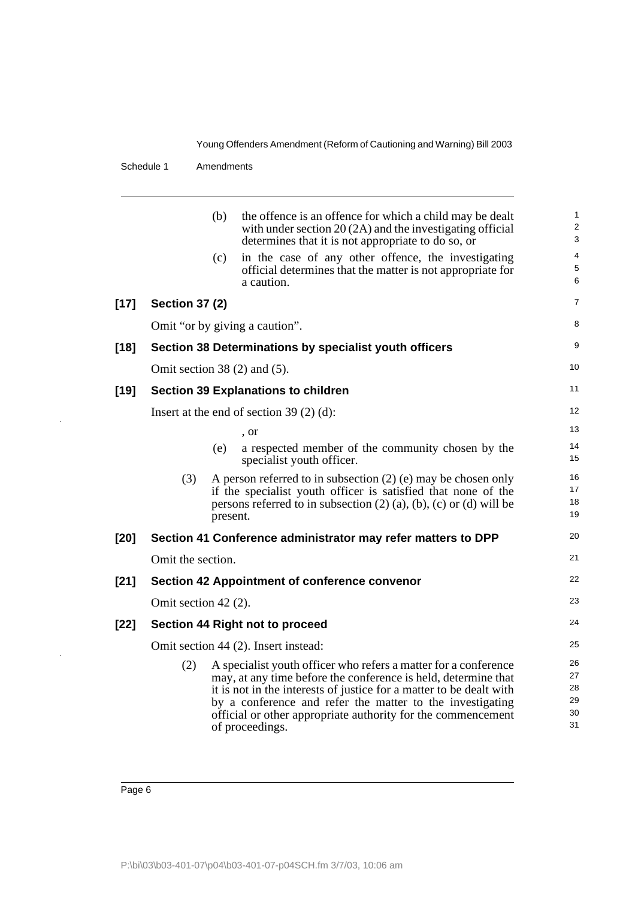#### Schedule 1 Amendments

|        |                                            | (b)      | the offence is an offence for which a child may be dealt<br>with under section $20(2A)$ and the investigating official<br>determines that it is not appropriate to do so, or                                                                                                                                                                             | 1<br>$\overline{c}$<br>3         |  |
|--------|--------------------------------------------|----------|----------------------------------------------------------------------------------------------------------------------------------------------------------------------------------------------------------------------------------------------------------------------------------------------------------------------------------------------------------|----------------------------------|--|
|        |                                            | (c)      | in the case of any other offence, the investigating<br>official determines that the matter is not appropriate for<br>a caution.                                                                                                                                                                                                                          | 4<br>5<br>6                      |  |
| $[17]$ | <b>Section 37 (2)</b>                      |          |                                                                                                                                                                                                                                                                                                                                                          | $\overline{7}$                   |  |
|        |                                            |          | Omit "or by giving a caution".                                                                                                                                                                                                                                                                                                                           | 8                                |  |
| $[18]$ |                                            |          | Section 38 Determinations by specialist youth officers                                                                                                                                                                                                                                                                                                   | 9                                |  |
|        |                                            |          | Omit section $38(2)$ and $(5)$ .                                                                                                                                                                                                                                                                                                                         | 10                               |  |
| $[19]$ | <b>Section 39 Explanations to children</b> |          |                                                                                                                                                                                                                                                                                                                                                          |                                  |  |
|        |                                            |          | Insert at the end of section $39(2)(d)$ :                                                                                                                                                                                                                                                                                                                | 12                               |  |
|        |                                            |          | , or                                                                                                                                                                                                                                                                                                                                                     | 13                               |  |
|        |                                            | (e)      | a respected member of the community chosen by the<br>specialist youth officer.                                                                                                                                                                                                                                                                           | 14<br>15                         |  |
|        | (3)                                        | present. | A person referred to in subsection $(2)$ (e) may be chosen only<br>if the specialist youth officer is satisfied that none of the<br>persons referred to in subsection $(2)$ $(a)$ , $(b)$ , $(c)$ or $(d)$ will be                                                                                                                                       | 16<br>17<br>18<br>19             |  |
| $[20]$ |                                            |          | Section 41 Conference administrator may refer matters to DPP                                                                                                                                                                                                                                                                                             | 20                               |  |
|        | Omit the section.                          |          |                                                                                                                                                                                                                                                                                                                                                          | 21                               |  |
| $[21]$ |                                            |          | <b>Section 42 Appointment of conference convenor</b>                                                                                                                                                                                                                                                                                                     | 22                               |  |
|        | Omit section 42 (2).                       |          |                                                                                                                                                                                                                                                                                                                                                          | 23                               |  |
| $[22]$ | Section 44 Right not to proceed            |          |                                                                                                                                                                                                                                                                                                                                                          |                                  |  |
|        | Omit section 44 (2). Insert instead:       |          |                                                                                                                                                                                                                                                                                                                                                          |                                  |  |
|        | (2)                                        |          | A specialist youth officer who refers a matter for a conference<br>may, at any time before the conference is held, determine that<br>it is not in the interests of justice for a matter to be dealt with<br>by a conference and refer the matter to the investigating<br>official or other appropriate authority for the commencement<br>of proceedings. | 26<br>27<br>28<br>29<br>30<br>31 |  |

 $\cdot$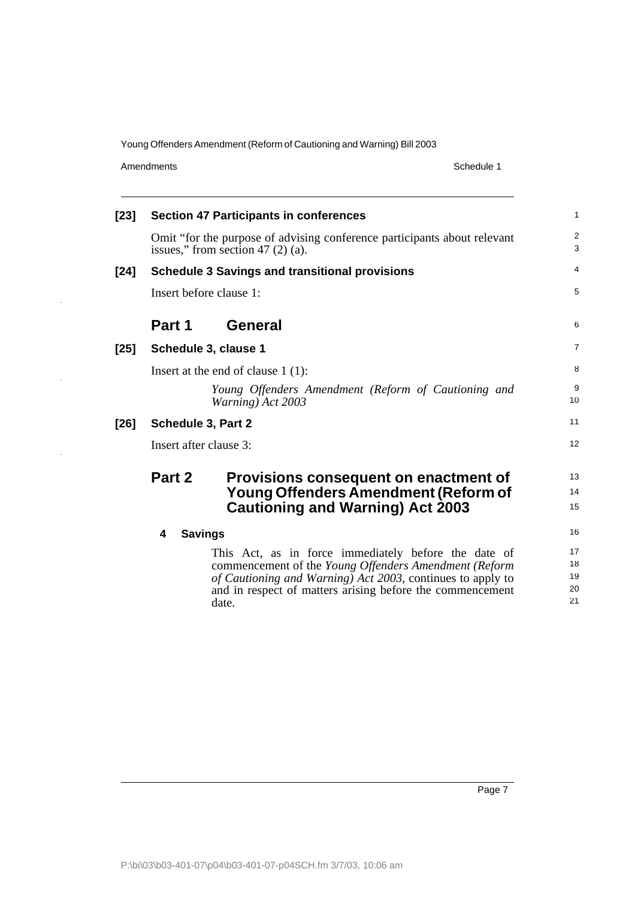Amendments Schedule 1

 $\bar{z}$ 

 $\ddot{\phantom{a}}$ 

| $[23]$ | <b>Section 47 Participants in conferences</b> |                                                                                                                                                                                                                                                   |                            |  |
|--------|-----------------------------------------------|---------------------------------------------------------------------------------------------------------------------------------------------------------------------------------------------------------------------------------------------------|----------------------------|--|
|        |                                               | Omit "for the purpose of advising conference participants about relevant<br>issues," from section 47 $(2)$ $(a)$ .                                                                                                                                | $\overline{c}$<br>3        |  |
| $[24]$ |                                               | <b>Schedule 3 Savings and transitional provisions</b>                                                                                                                                                                                             | 4                          |  |
|        | Insert before clause 1:                       |                                                                                                                                                                                                                                                   |                            |  |
|        | Part 1                                        | <b>General</b>                                                                                                                                                                                                                                    | 6                          |  |
| $[25]$ |                                               | Schedule 3, clause 1                                                                                                                                                                                                                              | 7                          |  |
|        |                                               | Insert at the end of clause $1(1)$ :                                                                                                                                                                                                              | 8                          |  |
|        |                                               | Young Offenders Amendment (Reform of Cautioning and<br>Warning) Act 2003                                                                                                                                                                          | 9<br>10                    |  |
| $[26]$ | <b>Schedule 3, Part 2</b>                     |                                                                                                                                                                                                                                                   | 11                         |  |
|        | Insert after clause 3:                        |                                                                                                                                                                                                                                                   |                            |  |
|        | Part 2                                        | Provisions consequent on enactment of<br><b>Young Offenders Amendment (Reform of</b><br><b>Cautioning and Warning) Act 2003</b>                                                                                                                   | 13<br>14<br>15             |  |
|        | 4                                             | <b>Savings</b>                                                                                                                                                                                                                                    | 16                         |  |
|        |                                               | This Act, as in force immediately before the date of<br>commencement of the Young Offenders Amendment (Reform<br>of Cautioning and Warning) Act 2003, continues to apply to<br>and in respect of matters arising before the commencement<br>date. | 17<br>18<br>19<br>20<br>21 |  |